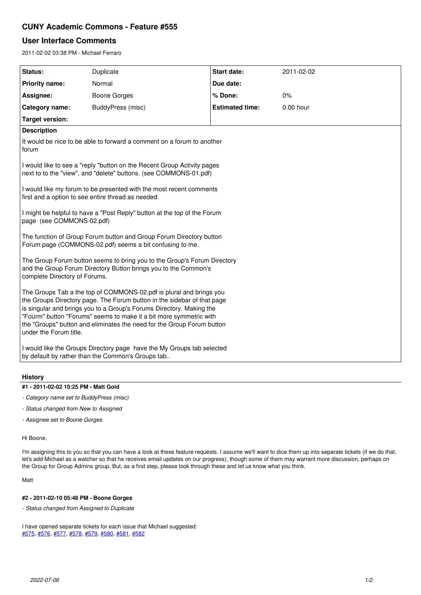## **CUNY Academic Commons - Feature #555**

# **User Interface Comments**

2011-02-02 03:38 PM - Michael Ferraro

| Status:                                                                                                                                                                                                                                                                                                                                                                                          | Duplicate           | <b>Start date:</b>     | 2011-02-02  |  |  |
|--------------------------------------------------------------------------------------------------------------------------------------------------------------------------------------------------------------------------------------------------------------------------------------------------------------------------------------------------------------------------------------------------|---------------------|------------------------|-------------|--|--|
| <b>Priority name:</b>                                                                                                                                                                                                                                                                                                                                                                            | Normal              | Due date:              |             |  |  |
| Assignee:                                                                                                                                                                                                                                                                                                                                                                                        | <b>Boone Gorges</b> | % Done:                | 0%          |  |  |
| Category name:                                                                                                                                                                                                                                                                                                                                                                                   | BuddyPress (misc)   | <b>Estimated time:</b> | $0.00$ hour |  |  |
| <b>Target version:</b>                                                                                                                                                                                                                                                                                                                                                                           |                     |                        |             |  |  |
| <b>Description</b>                                                                                                                                                                                                                                                                                                                                                                               |                     |                        |             |  |  |
| It would be nice to be able to forward a comment on a forum to another<br>forum                                                                                                                                                                                                                                                                                                                  |                     |                        |             |  |  |
| I would like to see a "reply "button on the Recent Group Activity pages<br>next to to the "view", and "delete" buttons. (see COMMONS-01.pdf)                                                                                                                                                                                                                                                     |                     |                        |             |  |  |
| I would like my forum to be presented with the most recent comments<br>first and a option to see entire thread as needed.                                                                                                                                                                                                                                                                        |                     |                        |             |  |  |
| I might be helpful to have a "Post Reply" button at the top of the Forum<br>page (see COMMONS-02.pdf)                                                                                                                                                                                                                                                                                            |                     |                        |             |  |  |
| The function of Group Forum button and Group Forum Directory button<br>Forum page (COMMONS-02.pdf) seems a bit confusing to me.                                                                                                                                                                                                                                                                  |                     |                        |             |  |  |
| The Group Forum button seems to bring you to the Group's Forum Directory<br>and the Group Forum Directory Button brings you to the Common's<br>complete Directory of Forums.                                                                                                                                                                                                                     |                     |                        |             |  |  |
| The Groups Tab a the top of COMMONS-02.pdf is plural and brings you<br>the Groups Directory page. The Forum button in the sidebar of that page<br>is singular and brings you to a Group's Forums Directory. Making the<br>"Fourm" button "Forums" seems to make it a bit more symmetric with<br>the "Groups" button and eliminates the need for the Group Forum button<br>under the Forum title. |                     |                        |             |  |  |
| I would like the Groups Directory page have the My Groups tab selected<br>by default by rather than the Common's Groups tab                                                                                                                                                                                                                                                                      |                     |                        |             |  |  |

## **History**

#### **#1 - 2011-02-02 10:25 PM - Matt Gold**

- *Category name set to BuddyPress (misc)*
- *Status changed from New to Assigned*
- *Assignee set to Boone Gorges*

## Hi Boone,

I'm assigning this to you so that you can have a look at these feature requests. I assume we'll want to dice them up into separate tickets (if we do that, let's add Michael as a watcher so that he receives email updates on our progress), though some of them may warrant more discussion, perhaps on the Group for Group Admins group. But, as a first step, please look through these and let us know what you think.

Matt

## **#2 - 2011-02-10 05:48 PM - Boone Gorges**

*- Status changed from Assigned to Duplicate*

I have opened separate tickets for each issue that Michael suggested: [#575,](https://redmine.gc.cuny.edu/issues/575) [#576](https://redmine.gc.cuny.edu/issues/576), [#577](https://redmine.gc.cuny.edu/issues/577), [#578,](https://redmine.gc.cuny.edu/issues/578) [#579,](https://redmine.gc.cuny.edu/issues/579) [#580](https://redmine.gc.cuny.edu/issues/580), [#581](https://redmine.gc.cuny.edu/issues/581), [#582](https://redmine.gc.cuny.edu/issues/582)